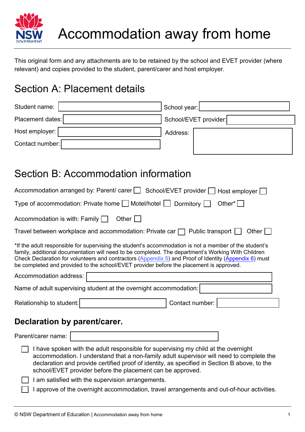

This original form and any attachments are to be retained by the school and EVET provider (where relevant) and copies provided to the student, parent/carer and host employer.

## Section A: Placement details

| School year:          |
|-----------------------|
| School/EVET provider: |
| Address:              |
|                       |
|                       |

## Section B: Accommodation information

| Accommodation arranged by: Parent/ carer   School/EVET provider   Host employer                                                                                                                                                                                                                                                                                                                                  |  |  |  |  |  |  |
|------------------------------------------------------------------------------------------------------------------------------------------------------------------------------------------------------------------------------------------------------------------------------------------------------------------------------------------------------------------------------------------------------------------|--|--|--|--|--|--|
| Type of accommodation: Private home $\Box$ Motel/hotel $\Box$ Dormitory $\Box$<br>Other $^*$                                                                                                                                                                                                                                                                                                                     |  |  |  |  |  |  |
| Other $  \;  $<br>Accommodation is with: Family $\Box$                                                                                                                                                                                                                                                                                                                                                           |  |  |  |  |  |  |
| Travel between workplace and accommodation: Private car $\Box$ Public transport $\Box$<br>Other $\Box$                                                                                                                                                                                                                                                                                                           |  |  |  |  |  |  |
| *If the adult responsible for supervising the student's accommodation is not a member of the student's<br>family, additional documentation will need to be completed. The department's Working With Children<br>Check Declaration for volunteers and contractors (Appendix 5) and Proof of Identity (Appendix 6) must<br>be completed and provided to the school/EVET provider before the placement is approved. |  |  |  |  |  |  |
| Accommodation address:                                                                                                                                                                                                                                                                                                                                                                                           |  |  |  |  |  |  |
| Name of adult supervising student at the overnight accommodation:                                                                                                                                                                                                                                                                                                                                                |  |  |  |  |  |  |
| Contact number:<br>Relationship to student:                                                                                                                                                                                                                                                                                                                                                                      |  |  |  |  |  |  |
| Declaration by parent/carer.                                                                                                                                                                                                                                                                                                                                                                                     |  |  |  |  |  |  |
| Parent/carer name:                                                                                                                                                                                                                                                                                                                                                                                               |  |  |  |  |  |  |
| I have spoken with the adult responsible for supervising my child at the overnight<br>accommodation. I understand that a non-family adult supervisor will need to complete the<br>declaration and provide certified proof of identity, as specified in Section B above, to the<br>school/EVET provider before the placement can be approved.                                                                     |  |  |  |  |  |  |
|                                                                                                                                                                                                                                                                                                                                                                                                                  |  |  |  |  |  |  |
| I am satisfied with the supervision arrangements.                                                                                                                                                                                                                                                                                                                                                                |  |  |  |  |  |  |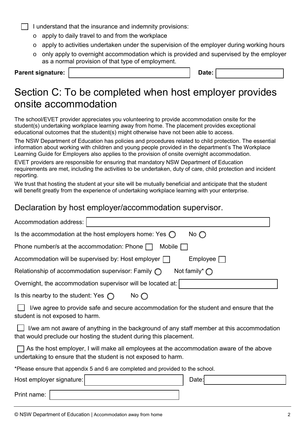• I understand that the insurance and indemnity provisions:

- o apply to daily travel to and from the workplace
- o apply to activities undertaken under the supervision of the employer during working hours
- o only apply to overnight accommodation which is provided and supervised by the employer as a normal provision of that type of employment.

**Parent signature:**  $\vert$ 

### Section C: To be completed when host employer provides onsite accommodation

The school/EVET provider appreciates you volunteering to provide accommodation onsite for the student(s) undertaking workplace learning away from home. The placement provides exceptional educational outcomes that the student(s) might otherwise have not been able to access.

The NSW Department of Education has policies and procedures related to child protection. The essential information about working with children and young people provided in the department's The Workplace Learning Guide for Employers also applies to the provision of onsite overnight accommodation.

EVET providers are responsible for ensuring that mandatory NSW Department of Education requirements are met, including the activities to be undertaken, duty of care, child protection and incident reporting.

We trust that hosting the student at your site will be mutually beneficial and anticipate that the student will benefit greatly from the experience of undertaking workplace learning with your enterprise.

#### Declaration by host employer/accommodation supervisor.

| Accommodation address:                                                              |  |  |  |  |
|-------------------------------------------------------------------------------------|--|--|--|--|
| Is the accommodation at the host employers home: Yes $\bigcirc$<br>No $\bigcap$     |  |  |  |  |
| Phone number/s at the accommodation: Phone $\Box$<br>Mobile I                       |  |  |  |  |
| Accommodation will be supervised by: Host employer [<br>Employee                    |  |  |  |  |
| Not family* $\bigcap$<br>Relationship of accommodation supervisor: Family $\bigcap$ |  |  |  |  |
| Overnight, the accommodation supervisor will be located at:                         |  |  |  |  |
| Is this nearby to the student: Yes $\bigcap$<br>No $\bigcap$                        |  |  |  |  |

 $\Box$  I/we agree to provide safe and secure accommodation for the student and ensure that the student is not exposed to harm.

 $\Box$  I/we am not aware of anything in the background of any staff member at this accommodation that would preclude our hosting the student during this placement.

 As the host employer, I will make all employees at the accommodation aware of the above undertaking to ensure that the student is not exposed to harm.

\*Please ensure that appendix 5 and 6 are completed and provided to the school.

| Host employer signature: |  | Date: |  |
|--------------------------|--|-------|--|
| Print name:              |  |       |  |